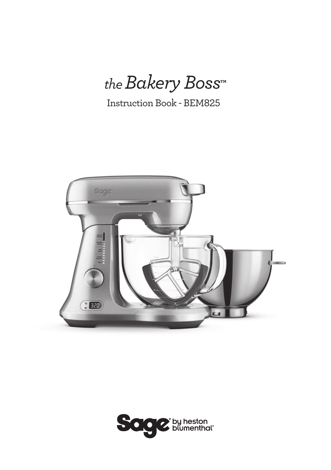*the Bakery Boss***™**

Instruction Book - BEM825



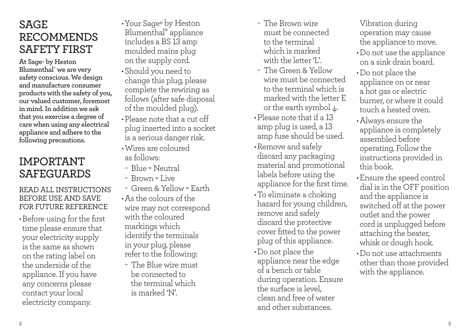## **SAGE RECOMMENDS SAFETY FIRST**

**At Sage‰ by Heston Blumenthal‰ we are very safety conscious. We design and manufacture consumer products with the safety of you, our valued customer, foremost in mind. In addition we ask that you exercise a degree of care when using any electrical appliance and adhere to the following precautions.**

## **IMPORTANT SAFEGUARDS**

### READ ALL INSTRUCTIONS BEFORE USE AND SAVE FOR FUTURE REFERENCE

•Before using for the first time please ensure that your electricity supply is the same as shown on the rating label on the underside of the appliance. If you have any concerns please contact your local electricity company.

- •Your Sage**‰** by Heston Blumenthal**‰** appliance includes a BS 13 amp moulded mains plug on the supply cord.
- •Should you need to change this plug, please complete the rewiring as follows (after safe disposal of the moulded plug).
- •Please note that a cut off plug inserted into a socket is a serious danger risk.
- •Wires are coloured as follows:
- − Blue = Neutral
- − Brown = Live
- − Green & Yellow = Earth
- •As the colours of the wire may not correspond with the coloured markings which identify the terminals in your plug, please refer to the following:
- − The Blue wire must be connected to the terminal which is marked 'N'.
- − The Brown wire must be connected to the terminal which is marked with the letter 'L'.
- − The Green & Yellow wire must be connected to the terminal which is marked with the letter E or the earth symbol  $\pm$ .
- •Please note that if a 13 amp plug is used, a 13 amp fuse should be used.
- •Remove and safely discard any packaging material and promotional labels before using the appliance for the first time.
- •To eliminate a choking hazard for young children, remove and safely discard the protective cover fitted to the power plug of this appliance.
- •Do not place the appliance near the edge of a bench or table during operation. Ensure the surface is level, clean and free of water and other substances.

Vibration during operation may cause the appliance to move.

- •Do not use the appliance on a sink drain board.
- •Do not place the appliance on or near a hot gas or electric burner, or where it could touch a heated oven.
- •Always ensure the appliance is completely assembled before operating. Follow the instructions provided in this book.
- •Ensure the speed control dial is in the OFF position and the appliance is switched off at the power outlet and the power cord is unplugged before attaching the beater, whisk or dough hook.
- •Do not use attachments other than those provided with the appliance.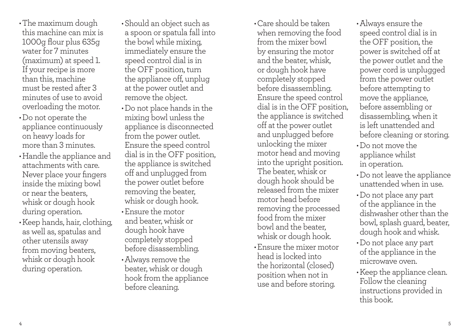•The maximum dough this machine can mix is 1000g flour plus 635g water for 7 minutes (maximum) at speed 1. If your recipe is more than this, machine must be rested after 3 minutes of use to avoid overloading the motor.

- •Do not operate the appliance continuously on heavy loads for more than 3 minutes.
- •Handle the appliance and attachments with care. Never place your fingers inside the mixing bowl or near the beaters, whisk or dough hook during operation.
- •Keep hands, hair, clothing, as well as, spatulas and other utensils away from moving beaters, whisk or dough hook during operation.
- •Should an object such as a spoon or spatula fall into the bowl while mixing, immediately ensure the speed control dial is in the OFF position, turn the appliance off, unplug at the power outlet and remove the object.
- •Do not place hands in the mixing bowl unless the appliance is disconnected from the power outlet. Ensure the speed control dial is in the OFF position, the appliance is switched off and unplugged from the power outlet before removing the beater, whisk or dough hook.
- •Ensure the motor and beater, whisk or dough hook have completely stopped before disassembling.
- •Always remove the beater, whisk or dough hook from the appliance before cleaning.
- •Care should be taken when removing the food from the mixer bowl by ensuring the motor and the beater, whisk, or dough hook have completely stopped before disassembling. Ensure the speed control dial is in the OFF position, the appliance is switched off at the power outlet and unplugged before unlocking the mixer motor head and moving into the upright position. The beater, whisk or dough hook should be released from the mixer motor head before removing the processed food from the mixer bowl and the beater, whisk or dough hook.
- •Ensure the mixer motor head is locked into the horizontal (closed) position when not in use and before storing.
- •Always ensure the speed control dial is in the OFF position, the power is switched off at the power outlet and the power cord is unplugged from the power outlet before attempting to move the appliance, before assembling or disassembling, when it is left unattended and before cleaning or storing.
- •Do not move the appliance whilst in operation.
- •Do not leave the appliance unattended when in use.
- •Do not place any part of the appliance in the dishwasher other than the bowl, splash guard, beater, dough hook and whisk.
- •Do not place any part of the appliance in the microwave oven.
- •Keep the appliance clean. Follow the cleaning instructions provided in this book.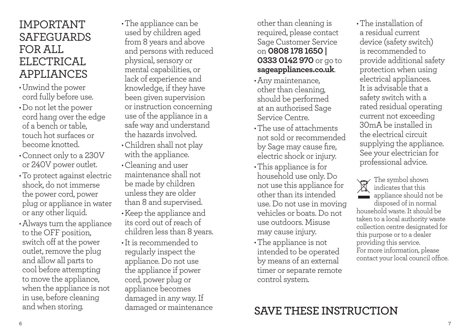## IMPORTANT SAFEGUARDS FOR ALL. ELECTRICAL APPLIANCES

- •Unwind the power cord fully before use.
- •Do not let the power cord hang over the edge of a bench or table, touch hot surfaces or become knotted.
- •Connect only to a 230V or 240V power outlet.
- •To protect against electric shock, do not immerse the power cord, power plug or appliance in water or any other liquid.
- •Always turn the appliance to the OFF position, switch off at the power outlet, remove the plug and allow all parts to cool before attempting to move the appliance, when the appliance is not in use, before cleaning and when storing.

•The appliance can be used by children aged from 8 years and above and persons with reduced physical, sensory or mental capabilities, or lack of experience and knowledge, if they have been given supervision or instruction concerning use of the appliance in a safe way and understand the hazards involved.

- •Children shall not play with the appliance.
- •Cleaning and user maintenance shall not be made by children unless they are older than 8 and supervised.
- •Keep the appliance and its cord out of reach of children less than 8 years.
- •It is recommended to regularly inspect the appliance. Do not use the appliance if power cord, power plug or appliance becomes damaged in any way. If

other than cleaning is required, please contact Sage Customer Service on **0808 178 1650 | 0333 0142 970** or go to **sageappliances.co.uk**.

- •Any maintenance, other than cleaning, should be performed at an authorised Sage Service Centre.
- •The use of attachments not sold or recommended by Sage may cause fire, electric shock or injury.
- •This appliance is for household use only. Do not use this appliance for other than its intended use. Do not use in moving vehicles or boats. Do not use outdoors. Misuse may cause injury.
- •The appliance is not intended to be operated by means of an external timer or separate remote control system.

•The installation of a residual current device (safety switch) is recommended to provide additional safety protection when using electrical appliances. It is advisable that a safety switch with a rated residual operating current not exceeding 30mA be installed in the electrical circuit supplying the appliance. See your electrician for professional advice.

The symbol shown indicates that this appliance should not be disposed of in normal household waste. It should be taken to a local authority waste collection centre designated for this purpose or to a dealer providing this service. For more information, please contact your local council office.

# damaged or maintenance **SAVE THESE INSTRUCTION**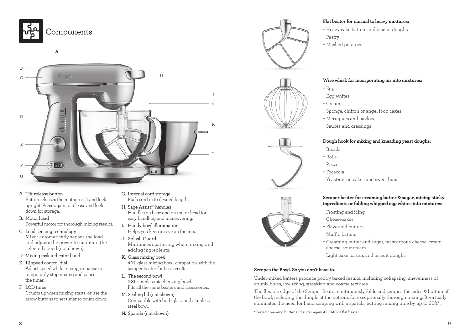



A. Tilt-release button

Button releases the motor to tilt and lock upright. Press again to release and lock down for storage.

- B. Motor head Powerful motor for thorough mixing results.
- C. Load sensing technology

Mixer automatically senses the load and adjusts the power to maintain the selected speed (not shown).

- D. Mixing task indicator band
- E. 12 speed control dial

Adjust speed while mixing, or pause to temporarily stop mixing and pause the timer.

F. LCD timer

Counts up when mixing starts, or use the arrow buttons to set timer to count down.

- G. Internal cord storage Push cord in to desired length.
- H. Sage Assist™ handles Handles on base and on motor head for easy handling and maneuvering.
- I. Handy bowl illumination Helps you keep an eye on the mix.
- J. Splash Guard Minimises spattering when mixing and adding ingredients.
- K. Glass mixing bowl 4.7L glass mixing bowl, compatible with the scraper beater for best results.
- L. The second bowl 3.8L stainless steel mixing bowl. Fits all the same beaters and accessories.
- M. Sealing lid (not shown) Compatible with both glass and stainless steel bowl.
- N. Spatula (not shown)









#### **Flat beater for normal to heavy mixtures:**

- − Heavy cake batters and biscuit doughs
- − Pastry
- − Mashed potatoes

#### **Wire whisk for incorporating air into mixtures:**

- − Eggs
- − Egg whites
- − Cream
- − Sponge, chiffon or angel food cakes
- − Meringues and pavlova
- − Sauces and dressings

#### **Dough hook for mixing and kneading yeast doughs:**

- − Breads
- − Rolls
- − Pizza
- − Focaccia
- − Yeast-raised cakes and sweet buns

#### **Scraper beater for creaming butter & sugar, mixing sticky ingredients or folding whipped egg whites into mixtures:**

- − Frosting and icing
- − Cheesecakes
- − Flavoured butters
- − Muffin batters
- − Creaming butter and sugar, mascarpone cheese, cream cheese, sour cream
- − Light cake batters and biscuit doughs

#### **Scrapes the Bowl. So you don't have to.**

Under-mixed batters produce poorly baked results, including collapsing, unevenness of crumb, holes, low rising, streaking and coarse textures.

The flexible edge of the Scraper Beater continuously folds and scrapes the sides & bottom of the bowl, including the dimple at the bottom, for exceptionally thorough mixing. It virtually eliminates the need for hand scraping with a spatula, cutting mixing time by up to 60%\*.

\*Tested creaming butter and sugar against BEM820 flat beater.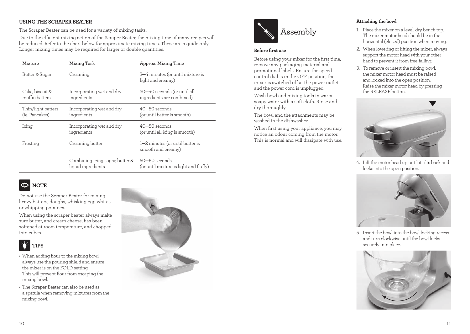#### **USING THE SCRAPER BEATER**

The Scraper Beater can be used for a variety of mixing tasks.

Due to the efficient mixing action of the Scraper Beater, the mixing time of many recipes will be reduced. Refer to the chart below for approximate mixing times. These are a guide only. Longer mixing times may be required for larger or double quantities.

| Mixture                              | Mixing Task                                           | Approx. Mixing Time                                      |
|--------------------------------------|-------------------------------------------------------|----------------------------------------------------------|
| Butter & Sugar                       | Creaming                                              | 3–4 minutes (or until mixture is<br>light and creamy)    |
| Cake, biscuit &<br>muffin batters    | Incorporating wet and dry<br>ingredients              | 30–40 seconds (or until all<br>ingredients are combined) |
| Thin/light batters<br>(ie. Pancakes) | Incorporating wet and dry<br>ingredients              | $40 - 50$ seconds<br>(or until batter is smooth)         |
| Icing                                | Incorporating wet and dry<br>ingredients              | $40 - 50$ seconds<br>(or until all icing is smooth)      |
| Frosting                             | Creaming butter                                       | 1–2 minutes (or until butter is<br>smooth and creamy)    |
|                                      | Combining icing sugar, butter &<br>liquid ingredients | 50–60 seconds<br>(or until mixture is light and fluffy)  |

#### $\circledcirc$ **NOTE**

Do not use the Scraper Beater for mixing heavy batters, doughs, whisking egg whites or whipping potatoes.

When using the scraper beater always make sure butter, and cream cheese, has been softened at room temperature, and chopped into cubes.

## **TIPS**

- When adding flour to the mixing bowl, always use the pouring shield and ensure the mixer is on the FOLD setting. This will prevent flour from escaping the mixing bowl.
- The Scraper Beater can also be used as a spatula when removing mixtures from the mixing bowl.





#### **Before first use**

Before using your mixer for the first time, remove any packaging material and promotional labels. Ensure the speed control dial is in the OFF position, the mixer is switched off at the power outlet and the power cord is unplugged.

Wash bowl and mixing tools in warm soapy water with a soft cloth. Rinse and dry thoroughly.

The bowl and the attachments may be washed in the dishwasher.

When first using your appliance, you may notice an odour coming from the motor. This is normal and will dissipate with use.

#### **Attaching the bowl**

- 1. Place the mixer on a level, dry bench top. The mixer motor head should be in the horizontal (closed) position when moving.
- 2. When lowering or lifting the mixer, always support the motor head with your other hand to prevent it from free-falling.
- 3. To remove or insert the mixing bowl, the mixer motor head must be raised and locked into the open position. Raise the mixer motor head by pressing the RELEASE button.



4. Lift the motor head up until it tilts back and locks into the open position.



5. Insert the bowl into the bowl locking recess and turn clockwise until the bowl locks securely into place.

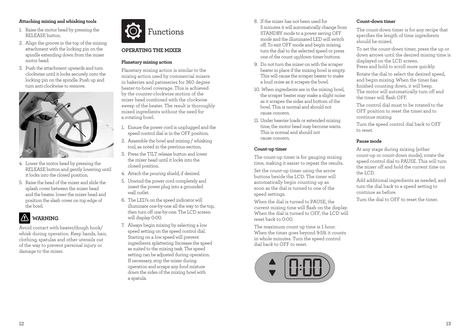#### **Attaching mixing and whisking tools**

- 1. Raise the motor head by pressing the RELEASE button.
- 2. Align the groove in the top of the mixing attachment with the locking pin on the spindle extending down from the mixer motor head.
- 3. Push the attachment upwards and turn clockwise until it locks securely onto the locking pin on the spindle. Push up and turn anti-clockwise to remove.



- 4. Lower the motor head by pressing the RELEASE button and gently lowering until it locks into the closed position.
- 5. Raise the head of the mixer and slide the splash cover between the mixer head and the beater. lower the mixer head and position the slash cover on top edge of the bowl.



Avoid contact with beater/dough hook/ whisk during operation. Keep hands, hair, clothing, spatulas and other utensils out of the way to prevent personal injury or damage to the mixer.



#### **OPERATING THE MIXER**

#### **Planetary mixing action**

Planetary mixing action is similar to the mixing action used by commercial mixers in bakeries and patisseries for 360 degree beater-to-bowl coverage. This is achieved by the counter-clockwise motion of the mixer head combined with the clockwise sweep of the beater. The result is thoroughly mixed ingredients without the need for a rotating bowl.

- 1. Ensure the power cord is unplugged and the speed control dial is in the OFF position.
- 2. Assemble the bowl and mixing / whisking tool, as noted in the previous section.
- 3. Press the TILT release button and lower the mixer head until it locks into the closed position.
- 4. Attach the pouring shield, if desired.
- 5. Unwind the power cord completely and insert the power plug into a grounded wall outlet.
- 6. The LED's on the speed indicator will illuminate one-by-one all the way to the top, then turn off one-by-one. The LCD screen will display 0:00.
- 7. Always begin mixing by selecting a low speed setting on the speed control dial. Starting on a low speed will prevent ingredients splattering. Increase the speed as suited to the mixing task. The speed setting can be adjusted during operation. If necessary, stop the mixer during operation and scrape any food mixture down the sides of the mixing bowl with a spatula.
- 8. If the mixer has not been used for 5 minutes it will automatically change from STANDBY mode to a power saving OFF mode and the illuminated LED will switch off. To exit OFF mode and begin mixing, turn the dial to the selected speed or press one of the count up/down timer buttons.
- 9. Do not turn the mixer on with the scraper beater in place if the mixing bowl is empty. This will cause the scraper beater to make a loud noise as it scrapes the bowl.
- 10. When ingredients are in the mixing bowl, the scraper beater may make a slight noise as it scrapes the sides and bottom of the bowl. This is normal and should not cause concern.
- 11. Under heavier loads or extended mixing time, the motor head may become warm. This is normal and should not cause concern.

#### **Count-up timer**

The count-up timer is for gauging mixing time, making it easier to repeat the results.

Set the count-up timer using the arrow buttons beside the LCD. The timer will automatically begin counting up as soon as the dial is turned to one of the speed settings.

When the dial is turned to PAUSE, the current mixing time will flash on the display. When the dial is turned to OFF, the LCD will reset back to 0:00.

The maximum count up time is 1 hour. When the timer goes beyond 9:59, it counts in whole minutes. Turn the speed control dial back to OFF to reset.



#### **Count-down timer**

The count-down timer is for any recipe that specifies the length of time ingredients should be mixed.

To set the count-down timer, press the up or down arrows until the desired mixing time is displayed on the LCD screen. Press and hold to scroll more quickly.

Rotate the dial to select the desired speed, and begin mixing. When the timer has finished counting down, it will beep. The motor will automatically turn off and the timer will flash OFF.

The control dial must to be rotated to the OFF position to reset the timer and to continue mixing.

Turn the speed control dial back to OFF to reset.

#### **Pause mode**

At any stage during mixing (either count-up or count-down mode), rotate the speed control dial to PAUSE. This will turn the mixer off and hold the current time on  $the ICD$ 

Add additional ingredients as needed, and turn the dial back to a speed setting to continue as before.

Turn the dial to OFF to reset the timer.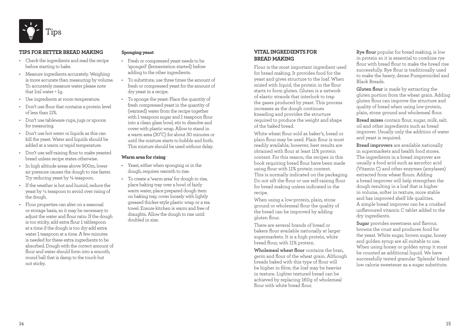

#### **TIPS FOR BETTER BREAD MAKING**

- Check the ingredients and read the recipe before starting to bake.
- Measure ingredients accurately. Weighing is more accurate than measuring by volume. To accurately measure water please note that 1ml water =  $1\sigma$ .
- Use ingredients at room temperature.
- Don't use flour that contains a protein level of less than 11%.
- Don't use tableware cups, jugs or spoons for measuring.
- Don't use hot water or liquids as this can kill the yeast. Water and liquids should be added at a warm or tepid temperature.
- Don't use self-raising flour to make yeasted bread unless recipe states otherwise.
- In high altitude areas above 900m, lower air pressure causes the dough to rise faster. Try reducing yeast by ¼ teaspoon.
- If the weather is hot and humid, reduce the yeast by ¼ teaspoon to avoid over rising of the dough.
- Flour properties can alter on a seasonal or storage basis, so it may be necessary to adjust the water and flour ratio. If the dough is too sticky, add extra flour 1 tablespoon at a time if the dough is too dry add extra water 1 teaspoon at a time. A few minutes is needed for these extra ingredients to be absorbed. Dough with the correct amount of flour and water should form into a smooth, round ball that is damp to the touch but not sticky.

#### **Sponging yeast**

- Fresh or compressed yeast needs to be 'sponged' (fermentation started) before adding to the other ingredients.
- To substitute, use three times the amount of fresh or compressed yeast for the amount of dry yeast in a recipe.
- To sponge the yeast: Place the quantity of fresh compressed yeast in the quantity of (warmed) water from the recipe together with 1 teaspoon sugar and 1 teaspoon flour into a clean glass bowl, stir to dissolve and cover with plastic wrap. Allow to stand in a warm area (30°C) for about 30 minutes or until the mixture starts to bubble and froth. This mixture should be used without delay.

#### **Warm area for rising**

- Yeast, either when sponging or in the dough, requires warmth to rise.
- To create a 'warm area' for dough to rise, place baking tray over a bowl of fairly warm water, place prepared dough item on baking tray, cover loosely with lightly greased thicker-style plastic wrap or a tea towel. Ensure kitchen is warm and free of draughts. Allow the dough to rise until doubled in size.

#### **VITAL INGREDIENTS FOR BREAD MAKING**

Flour is the most important ingredient used for bread making. It provides food for the yeast and gives structure to the loaf. When mixed with liquid, the protein in the flour starts to form gluten. Gluten is a network of elastic strands that interlock to trap the gases produced by yeast. This process increases as the dough continues kneading and provides the structure required to produce the weight and shape of the baked bread.

White wheat flour sold as baker's, bread or plain flour may be used. Plain flour is most readily available, however, best results are obtained with flour at least 11% protein content. For this reason, the recipes in this book requiring bread flour have been made using flour with 11% protein content. This is normally indicated on the packaging. Do not sift the flour or use self-raising flour for bread making unless indicated in the recipe.

When using a low-protein, plain, stone ground or wholemeal flour the quality of the bread can be improved by adding gluten flour.

There are several brands of bread or bakers flour available nationally at larger supermarkets. It is a high protein, white bread flour, with 11% protein.

**Wholemeal wheat flour** contains the bran, germ and flour of the wheat grain. Although breads baked with this type of flour will be higher in fibre, the loaf may be heavier in texture. Lighter textured bread can be achieved by replacing 160g of wholemeal flour with white bread flour.

**Rye flour** popular for bread making, is low in protein so it is essential to combine rye flour with bread flour to make the bread rise successfully. Rye flour is traditionally used to make the heavy, dense Pumpernickel and Black Breads.

**Gluten flour** is made by extracting the gluten portion from the wheat grain. Adding gluten flour can improve the structure and quality of bread when using low-protein, plain, stone ground and wholemeal flour.

**Bread mixes** contain flour, sugar, milk, salt, oil and other ingredients such as bread improver. Usually only the addition of water and yeast is required.

**Bread improvers** are available nationally in supermarkets and health food stores. The ingredients in a bread improver are usually a food acid such as ascorbic acid (Vitamin C) and other enzymes (amylases) extracted from wheat flours. Adding a bread improver will help strengthen the dough resulting in a loaf that is higher in volume, softer in texture, more stable and has improved shelf life qualities. A simple bread improver can be a crushed unflavoured vitamin C tablet added to the dry ingredients.

**Sugar** provides sweetness and flavour, browns the crust and produces food for the yeast. White sugar, brown sugar, honey and golden syrup are all suitable to use. When using honey or golden syrup it must be counted as additional liquid. We have successfully tested granular 'Splenda' brand low calorie sweetener as a sugar substitute.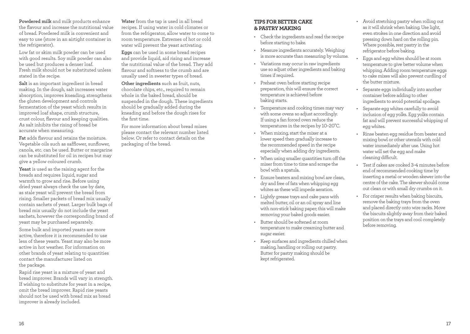**Powdered milk** and milk products enhance the flavour and increase the nutritional value of bread. Powdered milk is convenient and easy to use (store in an airtight container in the refrigerator).

Low fat or skim milk powder can be used with good results. Soy milk powder can also be used but produces a denser loaf. Fresh milk should not be substituted unless stated in the recipe.

**Salt** is an important ingredient in bread making. In the dough, salt increases water absorption, improves kneading, strengthens the gluten development and controls fermentation of the yeast which results in improved loaf shape, crumb structure, crust colour, flavour and keeping qualities. As salt inhibits the rising of bread be accurate when measuring.

**Fat** adds flavour and retains the moisture. Vegetable oils such as safflower, sunflower, canola, etc. can be used. Butter or margarine can be substituted for oil in recipes but may give a yellow coloured crumb.

**Yeast** is used as the raising agent for the breads and requires liquid, sugar and warmth to grow and rise. Before using dried yeast always check the use by date, as stale yeast will prevent the bread from rising. Smaller packets of bread mix usually contain sachets of yeast. Larger bulk bags of bread mix usually do not include the yeast sachets, however the corresponding brand of yeast may be purchased separately.

Some bulk and imported yeasts are more active, therefore it is recommended to use less of these yeasts. Yeast may also be more active in hot weather. For information on other brands of yeast relating to quantities contact the manufacturer listed on the package.

Rapid rise yeast is a mixture of yeast and bread improver. Brands will vary in strength. If wishing to substitute for yeast in a recipe, omit the bread improver. Rapid rise yeasts should not be used with bread mix as bread improver is already included.

**Water** from the tap is used in all bread recipes. If using water in cold climates or from the refrigerator, allow water to come to room temperature. Extremes of hot or cold water will prevent the yeast activating.

**Eggs** can be used in some bread recipes and provide liquid, aid rising and increase the nutritional value of the bread. They add flavour and softness to the crumb and are usually used in sweeter types of bread.

**Other ingredients** such as fruit, nuts, chocolate chips, etc., required to remain whole in the baked bread, should be suspended in the dough. These ingredients should be gradually added during the kneading and before the dough rises for the first time.

For more information about bread mixes please contact the relevant number listed below. Or refer to contact details on the packaging of the bread.

#### **TIPS FOR BETTER CAKE & PASTRY MAKING**

- Check the ingredients and read the recipe before starting to bake.
- Measure ingredients accurately. Weighing is more accurate than measuring by volume.
- Variations may occur in raw ingredients use so adjust other ingredients and baking times if required.
- Preheat oven before starting recipe preparation, this will ensure the correct temperature is achieved before baking starts.
- Temperature and cooking times may vary with some ovens so adjust accordingly. If using a fan forced oven reduce the temperatures in the recipes by 10–20°C.
- When mixing, start the mixer at a lower speed then gradually increase to the recommended speed in the recipe especially when adding dry ingredients.
- When using smaller quantities turn off the mixer from time to time and scrape the bowl with a spatula.
- Ensure beaters and mixing bowl are clean, dry and free of fats when whipping egg whites as these will impede aeration.
- Lightly grease trays and cake pans with melted butter, oil or an oil spray and line with non-stick baking paper; this will make removing your baked goods easier.
- Butter should be softened at room temperature to make creaming butter and sugar easier.
- Keep surfaces and ingredients chilled when making, handling or rolling out pastry. Butter for pastry making should be kept refrigerated.
- Avoid stretching pastry when rolling out as it will shrink when baking. Use light, even strokes in one direction and avoid pressing down hard on the rolling pin. Where possible, rest pastry in the refrigerator before baking.
- Eggs and egg whites should be at room temperature to give better volume when whipping. Adding room temperature eggs to cake mixes will also prevent curdling of the butter mixture.
- Separate eggs individually into another container before adding to other ingredients to avoid potential spoilage.
- Separate egg whites carefully to avoid inclusion of egg yolks. Egg yolks contain fat and will prevent successful whipping of egg whites.
- Rinse beaten egg residue from beater and mixing bowl or other utensils with cold water immediately after use. Using hot water will set the egg and make cleaning difficult.
- Test if cakes are cooked 3–4 minutes before end of recommended cooking time by inserting a metal or wooden skewer into the centre of the cake. The skewer should come out clean or with small dry crumbs on it.
- For crisper results when baking biscuits, remove the baking trays from the oven and placed directly onto wire racks. Move the biscuits slightly away from their baked position on the trays and cool completely before removing.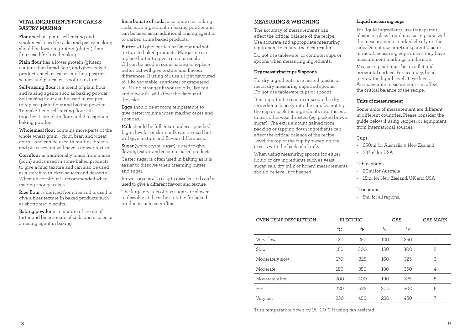#### **VITAL INGREDIENTS FOR CAKE & PASTRY MAKING**

**Flour** such as plain, self raising and wholemeal, used for cake and pastry making should be lower in protein (gluten) than flour used for bread making.

**Plain flour** has a lower protein (gluten) content than bread flour, and gives baked products, such as cakes, muffins, pastries, scones and pancakes, a softer texture.

**Self-raising flour** is a blend of plain flour and raising agents such as baking powder. Self raising flour can be used in recipes to replace plain flour and baking powder. To make 1 cup self-raising flour sift together 1 cup plain flour and 2 teaspoons baking powder.

**Wholemeal flour** contains more parts of the whole wheat grain – flour, bran and wheat germ – and can be used in muffins, breads and pie cases but will have a denser texture.

**Cornflour** is traditionally made from maize (corn) and is used in some baked products to give a finer texture and can also be used as a starch to thicken sauces and desserts. Wheaten cornflour is recommended when making sponge cakes.

**Rice flour** is derived from rice and is used to give a finer texture in baked products such as shortbread biscuits.

**Baking powder** is a mixture of cream of tartar and bicarbonate of soda and is used as a raising agent in baking.

**Bicarbonate of soda,** also known as baking soda, is an ingredient in baking powder and can be used as an additional raising agent or to darken some baked products.

**Butter** will give particular flavour and soft texture to baked products. Margarine can replace butter to give a similar result. Oil can be used in some baking to replace butter but will give texture and flavour differences. If using oil, use a light flavoured oil like vegetable, sunflower or grapeseed oil. Using stronger flavoured oils, like nut and olive oils, will affect the flavour of the cake.

**Eggs** should be at room temperature to give better volume when making cakes and sponges.

**Milk** should be full cream unless specified. Light, low fat or skim milk can be used but will give texture and flavour differences.

**Sugar** (white crystal sugar) is used to give flavour, texture and colour to baked products.

Caster sugar is often used in baking as it is easier to dissolve when creaming butter and sugar.

Brown sugar is also easy to dissolve and can be used to give a different flavour and texture.

The large crystals of raw sugar are slower to dissolve and can be suitable for baked products such as muffins.

#### **MEASURING & WEIGHING**

The accuracy of measurements can affect the critical balance of the recipe. Use accurate and appropriate measuring equipment to ensure the best results.

Do not use tableware, or common cups or spoons when measuring ingredients.

#### **Dry measuring cups & spoons**

For dry ingredients, use nested plastic or metal dry measuring cups and spoons. Do not use tableware cups or spoons.

It is important to spoon or scoop the dry ingredients loosely into the cup. Do not tap the cup or pack the ingredients into the cup unless otherwise directed (eg. packed brown sugar). The extra amount gained from packing or tapping down ingredients can affect the critical balance of the recipe. Level the top of the cup by sweeping the excess with the back of a knife.

When using measuring spoons for either liquid or dry ingredients such as yeast, sugar, salt, dry milk or honey, measurements should be level, not heaped.

#### **Liquid measuring cups**

For liquid ingredients, use transparent plastic or glass liquid measuring cups with the measurements marked clearly on the side. Do not use non-transparent plastic or metal measuring cups unless they have measurement markings on the side.

Measuring cup must be on a flat and horizontal surface. For accuracy, bend to view the liquid level at eye level. An inaccurate measurement can affect the critical balance of the recipe.

#### **Units of measurement**

Some units of measurement are different in different countries. Please consider the guide below if using recipes, or equipment, from international sources.

#### Cups

- 250ml for Australia & New Zealand
- $\cdot$  237ml for USA

#### Tablespoons

- 20ml for Australia
- 15ml for New Zealand, UK and USA

#### Teaspoons

• 5ml for all regions.

| <b>ELECTRIC</b> |     |                      | <b>GAS MARK</b> |
|-----------------|-----|----------------------|-----------------|
| °F              | °C  | $\mathrm{^{\circ}F}$ |                 |
| 250             | 120 | 250                  | 1               |
| 300             | 150 | 300                  | 2               |
| 325             | 160 | 325                  | 3               |
| 350             | 180 | 350                  | 4               |
| 400             | 190 | 375                  | 5               |
| 425             | 200 | 400                  | 6               |
| 450             | 230 | 450                  | 7               |
|                 |     |                      | GAS             |

Turn temperature down by 15—20°C if using fan assisted.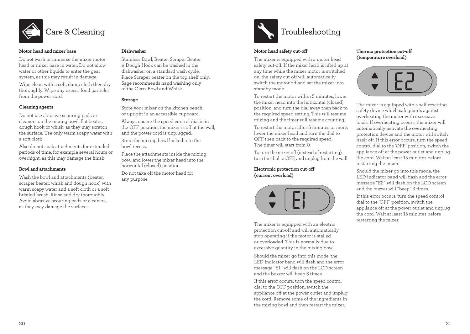

#### **Motor head and mixer base**

Do not wash or immerse the mixer motor head or mixer base in water. Do not allow water or other liquids to enter the gear system, as this may result in damage.

Wipe clean with a soft, damp cloth then dry thoroughly. Wipe any excess food particles from the power cord.

#### **Cleaning agents**

Do not use abrasive scouring pads or cleaners on the mixing bowl, flat beater, dough hook or whisk, as they may scratch the surface. Use only warm soapy water with a soft cloth.

Also do not soak attachments for extended periods of time, for example several hours or overnight, as this may damage the finish.

#### **Bowl and attachments**

Wash the bowl and attachments (beater, scraper beater, whisk and dough hook) with warm soapy water and a soft cloth or a soft bristled brush. Rinse and dry thoroughly. Avoid abrasive scouring pads or cleaners, as they may damage the surfaces.

#### **Dishwasher**

Stainless Bowl, Beater, Scraper Beater & Dough Hook can be washed in the dishwasher on a standard wash cycle. Place Scraper beater on the top shelf only. Sage recommends hand washing only of the Glass Bowl and Whisk.

#### **Storage**

Store your mixer on the kitchen bench, or upright in an accessible cupboard.

Always ensure the speed control dial is in the OFF position, the mixer is off at the wall, and the power cord is unplugged.

Store the mixing bowl locked into the bowl recess.

Place the attachments inside the mixing bowl and lower the mixer head into the horizontal (closed) position. Do not take off the motor head for

any purpose.



#### **Motor head safety cut-off**

The mixer is equipped with a motor head safety cut-off. If the mixer head is lifted up at any time while the mixer motor is switched on, the safety cut-off will automatically switch the motor off and set the mixer into standby mode.

To restart the motor within 5 minutes, lower the mixer head into the hotizontal (closed) position, and turn the dial away then back to the required speed setting. This will resume mixing and the timer will resume counting.

To restart the motor after 5 minutes or more, lower the mixer head and turn the dial to OFF then back to the required speed. The timer will start from 0.

To turn the mixer off (instead of restarting), turn the dial to OFF, and unplug from the wall.

**Electronic protection cut-off (current overload)**



The mixer is equipped with an electric protection cut-off and will automatically stop operating if the motor is stalled or overloaded. This is normally due to excessive quantity in the mixing bowl.

Should the mixer go into this mode, the LED indicator band will flash and the error message "E1" will flash on the LCD screen and the buzzer will beep 3 times.

If this error occurs, turn the speed control dial to the OFF position, switch the appliance off at the power outlet and unplug the cord. Remove some of the ingredients in the mixing bowl and then restart the mixer.

#### **Thermo protection cut-off (temperature overload)**



The mixer is equipped with a self-resetting safety device which safeguards against overheating the motor with excessive loads. If overheating occurs, the mixer will automatically activate the overheating protection device and the motor will switch itself off. If this error occurs, turn the speed control dial to the 'OFF' position, switch the appliance off at the power outlet and unplug the cord. Wait at least 15 minutes before restarting the mixer.

Should the mixer go into this mode, the LED indicator band will flash and the error message "E2" will flash on the LCD screen and the buzzer will "beep" 3 times.

If this error occurs, turn the speed control dial to the 'OFF' position, switch the appliance off at the power outlet and unplug the cord. Wait at least 15 minutes before restarting the mixer.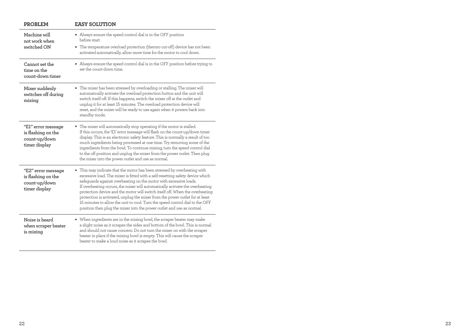| <b>PROBLEM</b>                                                             | <b>EASY SOLUTION</b>                                                                                                                                                                                                                                                                                                                                                                                                                                                                                                                                                                                                                  |  |  |
|----------------------------------------------------------------------------|---------------------------------------------------------------------------------------------------------------------------------------------------------------------------------------------------------------------------------------------------------------------------------------------------------------------------------------------------------------------------------------------------------------------------------------------------------------------------------------------------------------------------------------------------------------------------------------------------------------------------------------|--|--|
| Machine will<br>not work when                                              | • Always ensure the speed control dial is in the OFF position<br>before start.                                                                                                                                                                                                                                                                                                                                                                                                                                                                                                                                                        |  |  |
| switched ON                                                                | • The temperature overload protection (thermo cut-off) device has not been<br>activated automatically, allow more time for the motor to cool down.                                                                                                                                                                                                                                                                                                                                                                                                                                                                                    |  |  |
| Cannot set the<br>time on the<br>count-down timer                          | • Always ensure the speed control dial is in the OFF position before trying to<br>set the count-down time.                                                                                                                                                                                                                                                                                                                                                                                                                                                                                                                            |  |  |
| Mixer suddenly<br>switches off during<br>mixing                            | • The mixer has been stressed by overloading or stalling. The mixer will<br>automatically activate the overload protection button and the unit will<br>switch itself off. If this happens, switch the mixer off at the outlet and<br>unplug it for at least 15 minutes. The overload protection device will<br>reset, and the mixer will be ready to use again when it powers back into<br>standby mode.                                                                                                                                                                                                                              |  |  |
| "E1" error message<br>is flashing on the<br>count-up/down<br>timer display | • The mixer will automatically stop operating if the motor is stalled.<br>If this occurs, the 'E1' error message will flash on the count-up/down timer<br>display. This is an electronic safety feature. This is normally a result of too<br>much ingredients being processed at one time. Try removing some of the<br>ingredients from the bowl. To continue mixing, turn the speed control dial<br>to the off position and unplug the mixer from the power outlet. Then plug<br>the mixer into the power outlet and use as normal.                                                                                                  |  |  |
| "E2" error message<br>is flashing on the<br>count-up/down<br>timer display | This may indicate that the motor has been stressed by overheating with<br>excessive load. The mixer is fitted with a self-resetting safety device which<br>safeguards against overheating on the motor with excessive loads.<br>If overheating occurs, the mixer will automatically activate the overheating<br>protection device and the motor will switch itself off. When the overheating<br>protection is activated, unplug the mixer from the power outlet for at least<br>15 minutes to allow the unit to cool. Turn the speed control dial to the OFF<br>position then plug the mixer into the power outlet and use as normal. |  |  |
| Noise is heard<br>when scraper beater<br>is mixing                         | • When ingredients are in the mixing bowl, the scraper beater may make<br>a slight noise as it scrapes the sides and bottom of the bowl. This is normal<br>and should not cause concern. Do not turn the mixer on with the scraper<br>beater in place if the mixing bowl is empty. This will cause the scraper<br>beater to make a loud noise as it scrapes the bowl.                                                                                                                                                                                                                                                                 |  |  |